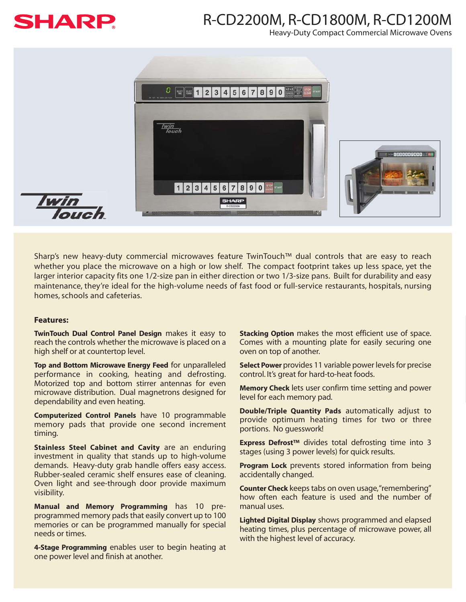

## R-CD2200M, R-CD1800M, R-CD1200M

Heavy-Duty Compact Commercial Microwave Ovens



Sharp's new heavy-duty commercial microwaves feature TwinTouch™ dual controls that are easy to reach whether you place the microwave on a high or low shelf. The compact footprint takes up less space, yet the larger interior capacity fits one 1/2-size pan in either direction or two 1/3-size pans. Built for durability and easy maintenance, they're ideal for the high-volume needs of fast food or full-service restaurants, hospitals, nursing homes, schools and cafeterias.

## **Features:**

**TwinTouch Dual Control Panel Design** makes it easy to reach the controls whether the microwave is placed on a high shelf or at countertop level.

**Top and Bottom Microwave Energy Feed** for unparalleled performance in cooking, heating and defrosting. Motorized top and bottom stirrer antennas for even microwave distribution. Dual magnetrons designed for dependability and even heating.

**Computerized Control Panels** have 10 programmable memory pads that provide one second increment timing.

**Stainless Steel Cabinet and Cavity** are an enduring investment in quality that stands up to high-volume demands. Heavy-duty grab handle offers easy access. Rubber-sealed ceramic shelf ensures ease of cleaning. Oven light and see-through door provide maximum visibility.

**Manual and Memory Programming** has 10 preprogrammed memory pads that easily convert up to 100 memories or can be programmed manually for special needs or times.

**4-Stage Programming** enables user to begin heating at one power level and finish at another.

**Stacking Option** makes the most efficient use of space. Comes with a mounting plate for easily securing one oven on top of another.

**Select Power** provides 11 variable power levels for precise control. It's great for hard-to-heat foods.

**Memory Check** lets user confirm time setting and power level for each memory pad.

**Double/Triple Quantity Pads** automatically adjust to provide optimum heating times for two or three portions. No guesswork!

**Express Defrost™** divides total defrosting time into 3 stages (using 3 power levels) for quick results.

**Program Lock** prevents stored information from being accidentally changed.

**Counter Check** keeps tabs on oven usage,"remembering" how often each feature is used and the number of manual uses.

**Lighted Digital Display** shows programmed and elapsed heating times, plus percentage of microwave power, all with the highest level of accuracy.